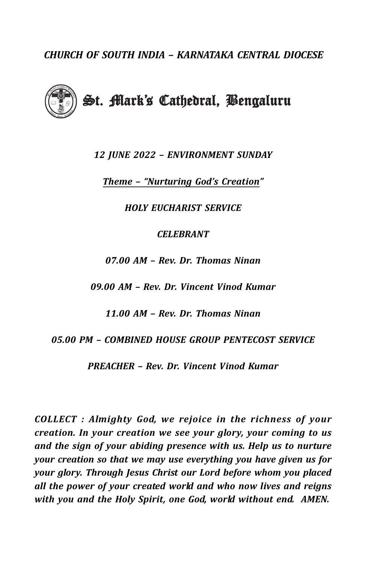CHURCH OF SOUTH INDIA – KARNATAKA CENTRAL DIOCESE



12 JUNE 2022 – ENVIRONMENT SUNDAY

Theme – "Nurturing God's Creation"

HOLY EUCHARIST SERVICE

#### CELEBRANT

07.00 AM – Rev. Dr. Thomas Ninan

09.00 AM – Rev. Dr. Vincent Vinod Kumar

11.00 AM – Rev. Dr. Thomas Ninan

05.00 PM – COMBINED HOUSE GROUP PENTECOST SERVICE

PREACHER – Rev. Dr. Vincent Vinod Kumar

COLLECT : Almighty God, we rejoice in the richness of your creation. In your creation we see your glory, your coming to us and the sign of your abiding presence with us. Help us to nurture your creation so that we may use everything you have given us for your glory. Through Jesus Christ our Lord before whom you placed all the power of your created world and who now lives and reigns with you and the Holy Spirit, one God, world without end. AMEN.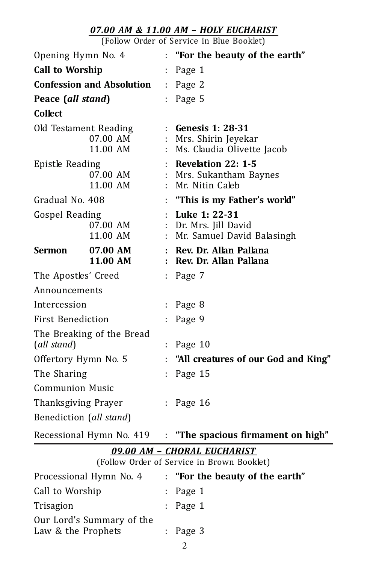#### 07.00 AM & 11.00 AM – HOLY EUCHARIST

(Follow Order of Service in Blue Booklet)

| Opening Hymn No. 4                       |                                               |    | : "For the beauty of the earth"                                           |
|------------------------------------------|-----------------------------------------------|----|---------------------------------------------------------------------------|
| <b>Call to Worship</b>                   |                                               | ÷  | Page 1                                                                    |
| <b>Confession and Absolution</b>         |                                               |    | $:$ Page 2                                                                |
| Peace (all stand)                        |                                               | t. | Page 5                                                                    |
| <b>Collect</b>                           |                                               |    |                                                                           |
|                                          | Old Testament Reading<br>07.00 AM<br>11.00 AM |    | : Genesis 1: 28-31<br>: Mrs. Shirin Jeyekar<br>Ms. Claudia Olivette Jacob |
| Epistle Reading                          | 07.00 AM<br>11.00 AM                          |    | : Revelation 22: 1-5<br>: Mrs. Sukantham Baynes<br>: Mr. Nitin Caleb      |
| Gradual No. 408                          |                                               |    | : "This is my Father's world"                                             |
| Gospel Reading                           | 07.00 AM<br>11.00 AM                          |    | : Luke 1: 22-31<br>: Dr. Mrs. Jill David<br>: Mr. Samuel David Balasingh  |
| Sermon                                   | 07.00 AM<br>11.00 AM                          |    | : Rev. Dr. Allan Pallana<br>: Rev. Dr. Allan Pallana                      |
| The Apostles' Creed                      |                                               |    | : Page $7$                                                                |
| Announcements                            |                                               |    |                                                                           |
| Intercession                             |                                               |    | Page 8                                                                    |
| <b>First Benediction</b>                 |                                               | ÷  | Page 9                                                                    |
| The Breaking of the Bread<br>(all stand) |                                               |    | Page 10                                                                   |
| Offertory Hymn No. 5                     |                                               |    | : "All creatures of our God and King"                                     |
| The Sharing                              |                                               |    | Page 15                                                                   |
| <b>Communion Music</b>                   |                                               |    |                                                                           |
| Thanksgiving Prayer                      |                                               |    | : Page $16$                                                               |
|                                          | Benediction (all stand)                       |    |                                                                           |
| Recessional Hymn No. 419                 |                                               |    | : "The spacious firmament on high"                                        |

## 09.00 AM – CHORAL EUCHARIST

|                                                 | (Follow Order of Service in Brown Booklet) |
|-------------------------------------------------|--------------------------------------------|
| Processional Hymn No. 4                         | : "For the beauty of the earth"            |
| Call to Worship                                 | $:$ Page 1                                 |
| Trisagion                                       | $:$ Page 1                                 |
| Our Lord's Summary of the<br>Law & the Prophets | : Page $3$                                 |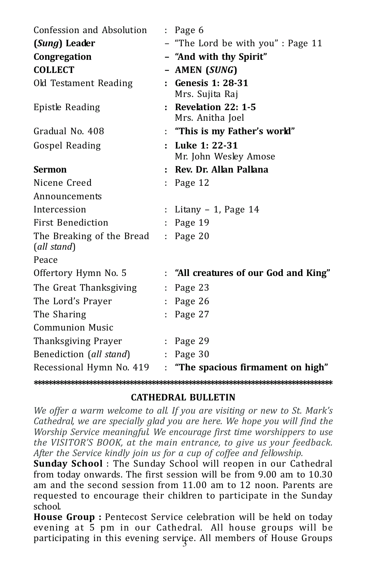| Confession and Absolution                         |  | : Page $6$                                 |
|---------------------------------------------------|--|--------------------------------------------|
| (Sung) Leader                                     |  | - "The Lord be with you" : Page 11         |
| Congregation                                      |  | - "And with thy Spirit"                    |
| <b>COLLECT</b>                                    |  | - AMEN (SUNG)                              |
| Old Testament Reading                             |  | <b>Genesis 1: 28-31</b><br>Mrs. Sujita Raj |
| Epistle Reading                                   |  | : Revelation 22: 1-5<br>Mrs. Anitha Joel   |
| Gradual No. 408                                   |  | : "This is my Father's world"              |
| Gospel Reading                                    |  | : Luke 1: 22-31<br>Mr. John Wesley Amose   |
| <b>Sermon</b>                                     |  | : Rev. Dr. Allan Pallana                   |
| Nicene Creed                                      |  | : Page $12$                                |
| Announcements                                     |  |                                            |
| Intercession                                      |  | : Litany - 1, Page 14                      |
| <b>First Benediction</b>                          |  | : Page $19$                                |
| The Breaking of the Bread<br>$\textit{all stand}$ |  | : Page $20$                                |
| Peace                                             |  |                                            |
| Offertory Hymn No. 5                              |  | : "All creatures of our God and King"      |
| The Great Thanksgiving                            |  | : Page 23                                  |
| The Lord's Prayer                                 |  | : Page $26$                                |
| The Sharing                                       |  | Page 27                                    |
| Communion Music                                   |  |                                            |
| Thanksgiving Prayer                               |  | : Page $29$                                |
| Benediction (all stand)                           |  | $:$ Page 30                                |
| Recessional Hymn No. 419                          |  | "The spacious firmament on high"           |
|                                                   |  |                                            |

#### CATHEDRAL BULLETIN

We offer a warm welcome to all. If you are visiting or new to St. Mark's Cathedral, we are specially glad you are here. We hope you will find the Worship Service meaningful. We encourage first time worshippers to use the VISITOR'S BOOK, at the main entrance, to give us your feedback. After the Service kindly join us for a cup of coffee and fellowship.

Sunday School : The Sunday School will reopen in our Cathedral from today onwards. The first session will be from 9.00 am to 10.30 am and the second session from 11.00 am to 12 noon. Parents are requested to encourage their children to participate in the Sunday school.

participating in this evening serviçe. All members of House Groups House Group : Pentecost Service celebration will be held on today evening at 5 pm in our Cathedral. All house groups will be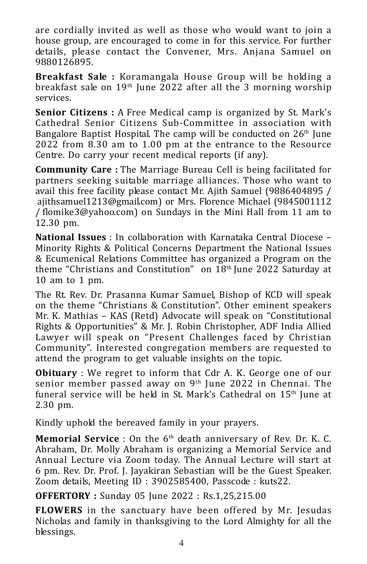are cordially invited as well as those who would want to join a house group, are encouraged to come in for this service. For further details, please contact the Convener, Mrs. Anjana Samuel on 9880126895.

Breakfast Sale : Koramangala House Group will be holding a breakfast sale on  $19<sup>th</sup>$  June 2022 after all the 3 morning worship services.

Senior Citizens : A Free Medical camp is organized by St. Mark's Cathedral Senior Citizens Sub-Committee in association with Bangalore Baptist Hospital. The camp will be conducted on  $26<sup>th</sup>$  June 2022 from 8.30 am to 1.00 pm at the entrance to the Resource Centre. Do carry your recent medical reports (if any).

Community Care : The Marriage Bureau Cell is being facilitated for partners seeking suitable marriage alliances. Those who want to avail this free facility please contact Mr. Ajith Samuel (9886404895 / ajithsamuel1213@gmail.com) or Mrs. Florence Michael (9845001112 / flomike3@yahoo.com) on Sundays in the Mini Hall from 11 am to 12.30 pm.

National Issues : In collaboration with Karnataka Central Diocese -Minority Rights & Political Concerns Department the National Issues & Ecumenical Relations Committee has organized a Program on the theme "Christians and Constitution" on 18th June 2022 Saturday at 10 am to 1 pm.

The Rt. Rev. Dr. Prasanna Kumar Samuel, Bishop of KCD will speak on the theme "Christians & Constitution". Other eminent speakers Mr. K. Mathias – KAS (Retd) Advocate will speak on "Constitutional Rights & Opportunities" & Mr. J. Robin Christopher, ADF India Allied Lawyer will speak on "Present Challenges faced by Christian Community". Interested congregation members are requested to attend the program to get valuable insights on the topic.

**Obituary** : We regret to inform that Cdr A. K. George one of our senior member passed away on 9<sup>th</sup> June 2022 in Chennai. The funeral service will be held in St. Mark's Cathedral on  $15<sup>th</sup>$  June at 2.30 pm.

Kindly uphold the bereaved family in your prayers.

**Memorial Service** : On the  $6<sup>th</sup>$  death anniversary of Rev. Dr. K. C. Abraham, Dr. Molly Abraham is organizing a Memorial Service and Annual Lecture via Zoom today. The Annual Lecture will start at 6 pm. Rev. Dr. Prof. J. Jayakiran Sebastian will be the Guest Speaker. Zoom details, Meeting ID : 3902585400, Passcode : kuts22.

OFFERTORY : Sunday 05 June 2022 : Rs.1,25,215.00

FLOWERS in the sanctuary have been offered by Mr. Jesudas Nicholas and family in thanksgiving to the Lord Almighty for all the blessings.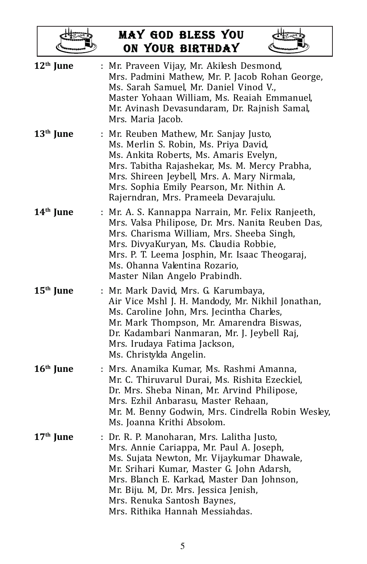## MAY GOD BLESS YOU ON YOUR BIRTHDAY



| 12 <sup>th</sup> June | : Mr. Praveen Vijay, Mr. Akilesh Desmond,<br>Mrs. Padmini Mathew, Mr. P. Jacob Rohan George,<br>Ms. Sarah Samuel, Mr. Daniel Vinod V.,<br>Master Yohaan William, Ms. Reaiah Emmanuel,<br>Mr. Avinash Devasundaram, Dr. Rajnish Samal,<br>Mrs. Maria Jacob.                                                                                |
|-----------------------|-------------------------------------------------------------------------------------------------------------------------------------------------------------------------------------------------------------------------------------------------------------------------------------------------------------------------------------------|
| 13 <sup>th</sup> June | : Mr. Reuben Mathew, Mr. Sanjay Justo,<br>Ms. Merlin S. Robin, Ms. Priya David,<br>Ms. Ankita Roberts, Ms. Amaris Evelyn,<br>Mrs. Tabitha Rajashekar, Ms. M. Mercy Prabha,<br>Mrs. Shireen Jeybell, Mrs. A. Mary Nirmala,<br>Mrs. Sophia Emily Pearson, Mr. Nithin A.<br>Rajerndran, Mrs. Prameela Devarajulu.                            |
| 14 <sup>th</sup> June | : Mr. A. S. Kannappa Narrain, Mr. Felix Ranjeeth,<br>Mrs. Valsa Philipose, Dr. Mrs. Nanita Reuben Das,<br>Mrs. Charisma William, Mrs. Sheeba Singh,<br>Mrs. DivyaKuryan, Ms. Claudia Robbie,<br>Mrs. P. T. Leema Josphin, Mr. Isaac Theogaraj,<br>Ms. Ohanna Valentina Rozario,<br>Master Nilan Angelo Prabindh.                          |
| 15 <sup>th</sup> June | : Mr. Mark David, Mrs. G. Karumbaya,<br>Air Vice Mshl J. H. Mandody, Mr. Nikhil Jonathan,<br>Ms. Caroline John, Mrs. Jecintha Charles,<br>Mr. Mark Thompson, Mr. Amarendra Biswas,<br>Dr. Kadambari Nanmaran, Mr. J. Jeybell Raj,<br>Mrs. Irudaya Fatima Jackson,<br>Ms. Christylda Angelin.                                              |
| 16 <sup>th</sup> June | : Mrs. Anamika Kumar, Ms. Rashmi Amanna,<br>Mr. C. Thiruvarul Durai, Ms. Rishita Ezeckiel,<br>Dr. Mrs. Sheba Ninan, Mr. Arvind Philipose,<br>Mrs. Ezhil Anbarasu, Master Rehaan,<br>Mr. M. Benny Godwin, Mrs. Cindrella Robin Wesley,<br>Ms. Joanna Krithi Absolom.                                                                       |
| 17 <sup>th</sup> June | : Dr. R. P. Manoharan, Mrs. Lalitha Justo,<br>Mrs. Annie Cariappa, Mr. Paul A. Joseph,<br>Ms. Sujata Newton, Mr. Vijaykumar Dhawale,<br>Mr. Srihari Kumar, Master G John Adarsh,<br>Mrs. Blanch E. Karkad, Master Dan Johnson,<br>Mr. Biju. M, Dr. Mrs. Jessica Jenish,<br>Mrs. Renuka Santosh Baynes,<br>Mrs. Rithika Hannah Messiahdas. |